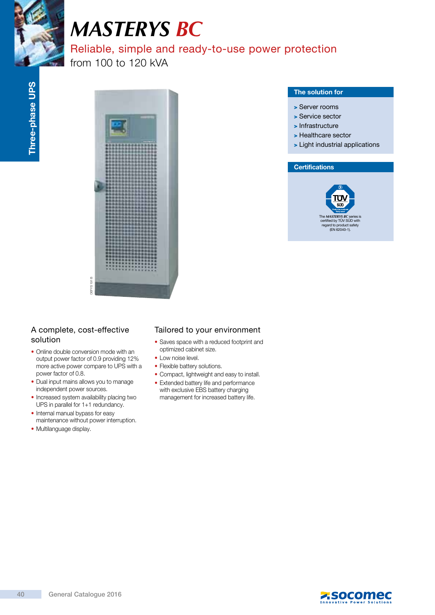

# *MASTERYS BC*

# Reliable, simple and ready-to-use power protection

from 100 to 120 kVA



### The solution for

- > Server rooms
- > Service sector
- > Infrastructure
- > Healthcare sector
- > Light industrial applications

#### **Certifications**



# A complete, cost-effective solution

- Online double conversion mode with an output power factor of 0.9 providing 12% more active power compare to UPS with a power factor of 0.8.
- Dual input mains allows you to manage independent power sources.
- Increased system availability placing two UPS in parallel for 1+1 redundancy.
- Internal manual bypass for easy maintenance without power interruption.
- Multilanguage display.

# Tailored to your environment

- Saves space with a reduced footprint and optimized cabinet size.
- Low noise level.
- Flexible battery solutions.
- Compact, lightweight and easy to install.
- Extended battery life and performance with exclusive EBS battery charging management for increased battery life.